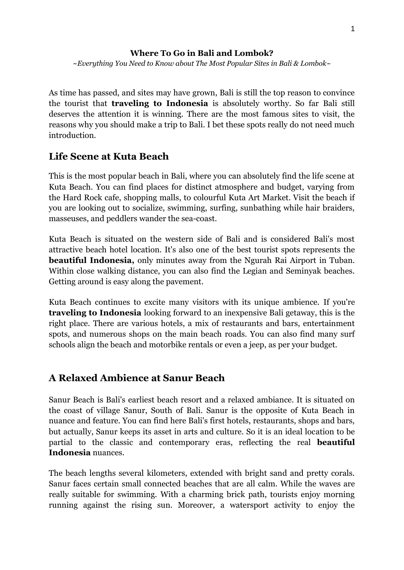#### **Where To Go in Bali and Lombok?**

*~Everything You Need to Know about The Most Popular Sites in Bali & Lombok~*

As time has passed, and sites may have grown, Bali is still the top reason to convince the tourist that **traveling to Indonesia** is absolutely worthy. So far Bali still deserves the attention it is winning. There are the most famous sites to visit, the reasons why you should make a trip to Bali. I bet these spots really do not need much introduction.

#### **Life Scene at Kuta Beach**

This is the most popular beach in Bali, where you can absolutely find the life scene at Kuta Beach. You can find places for distinct atmosphere and budget, varying from the Hard Rock cafe, shopping malls, to colourful Kuta Art Market. Visit the beach if you are looking out to socialize, swimming, surfing, sunbathing while hair braiders, masseuses, and peddlers wander the sea-coast.

Kuta Beach is situated on the western side of Bali and is considered Bali's most attractive beach hotel location. It's also one of the best tourist spots represents the **beautiful Indonesia,** only minutes away from the Ngurah Rai Airport in Tuban. Within close walking distance, you can also find the Legian and Seminyak beaches. Getting around is easy along the pavement.

Kuta Beach continues to excite many visitors with its unique ambience. If you're **traveling to Indonesia** looking forward to an inexpensive Bali getaway, this is the right place. There are various hotels, a mix of restaurants and bars, entertainment spots, and numerous shops on the main beach roads. You can also find many surf schools align the beach and motorbike rentals or even a jeep, as per your budget.

# **A Relaxed Ambience at Sanur Beach**

Sanur Beach is Bali's earliest beach resort and a relaxed ambiance. It is situated on the coast of village Sanur, South of Bali. Sanur is the opposite of Kuta Beach in nuance and feature. You can find here Bali's first hotels, restaurants, shops and bars, but actually, Sanur keeps its asset in arts and culture. So it is an ideal location to be partial to the classic and contemporary eras, reflecting the real **beautiful Indonesia** nuances.

The beach lengths several kilometers, extended with bright sand and pretty corals. Sanur faces certain small connected beaches that are all calm. While the waves are really suitable for swimming. With a charming brick path, tourists enjoy morning running against the rising sun. Moreover, a watersport activity to enjoy the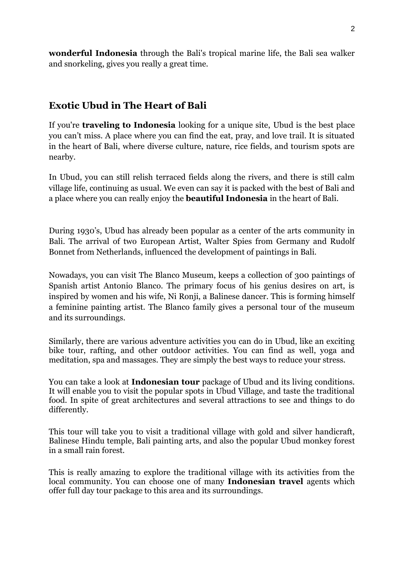**wonderful Indonesia** through the Bali's tropical marine life, the Bali sea walker and snorkeling, gives you really a great time.

#### **Exotic Ubud in The Heart of Bali**

If you're **traveling to Indonesia** looking for a unique site, Ubud is the best place you can't miss. A place where you can find the eat, pray, and love trail. It is situated in the heart of Bali, where diverse culture, nature, rice fields, and tourism spots are nearby.

In Ubud, you can still relish terraced fields along the rivers, and there is still calm village life, continuing as usual. We even can say it is packed with the best of Bali and a place where you can really enjoy the **beautiful Indonesia** in the heart of Bali.

During 1930's, Ubud has already been popular as a center of the arts community in Bali. The arrival of two European Artist, Walter Spies from Germany and Rudolf Bonnet from Netherlands, influenced the development of paintings in Bali.

Nowadays, you can visit The Blanco Museum, keeps a collection of 300 paintings of Spanish artist Antonio Blanco. The primary focus of his genius desires on art, is inspired by women and his wife, Ni Ronji, a Balinese dancer. This is forming himself a feminine painting artist. The Blanco family gives a personal tour of the museum and its surroundings.

Similarly, there are various adventure activities you can do in Ubud, like an exciting bike tour, rafting, and other outdoor activities. You can find as well, yoga and meditation, spa and massages. They are simply the best ways to reduce your stress.

You can take a look at **Indonesian tour** package of Ubud and its living conditions. It will enable you to visit the popular spots in Ubud Village, and taste the traditional food. In spite of great architectures and several attractions to see and things to do differently.

This tour will take you to visit a traditional village with gold and silver handicraft, Balinese Hindu temple, Bali painting arts, and also the popular Ubud monkey forest in a small rain forest.

This is really amazing to explore the traditional village with its activities from the local community. You can choose one of many **Indonesian travel** agents which offer full day tour package to this area and its surroundings.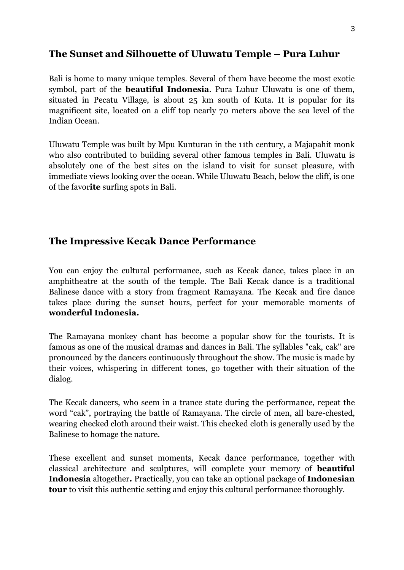# **The Sunset and Silhouette of Uluwatu Temple – Pura Luhur**

Bali is home to many unique temples. Several of them have become the most exotic symbol, part of the **beautiful Indonesia**. Pura Luhur Uluwatu is one of them, situated in Pecatu Village, is about 25 km south of Kuta. It is popular for its magnificent site, located on a cliff top nearly 70 meters above the sea level of the Indian Ocean.

Uluwatu Temple was built by Mpu Kunturan in the 11th century, a Majapahit monk who also contributed to building several other famous temples in Bali. Uluwatu is absolutely one of the best sites on the island to visit for sunset pleasure, with immediate views looking over the ocean. While Uluwatu Beach, below the cliff, is one of the favor**ite** surfing spots in Bali.

# **The Impressive Kecak Dance Performance**

You can enjoy the cultural performance, such as Kecak dance, takes place in an amphitheatre at the south of the temple. The Bali Kecak dance is a traditional Balinese dance with a story from fragment Ramayana. The Kecak and fire dance takes place during the sunset hours, perfect for your memorable moments of **wonderful Indonesia.** 

The Ramayana monkey chant has become a popular show for the tourists. It is famous as one of the musical dramas and dances in Bali. The syllables "cak, cak" are pronounced by the dancers continuously throughout the show. The music is made by their voices, whispering in different tones, go together with their situation of the dialog.

The Kecak dancers, who seem in a trance state during the performance, repeat the word "cak", portraying the battle of Ramayana. The circle of men, all bare-chested, wearing checked cloth around their waist. This checked cloth is generally used by the Balinese to homage the nature.

These excellent and sunset moments, Kecak dance performance, together with classical architecture and sculptures, will complete your memory of **beautiful Indonesia** altogether**.** Practically, you can take an optional package of **Indonesian tour** to visit this authentic setting and enjoy this cultural performance thoroughly.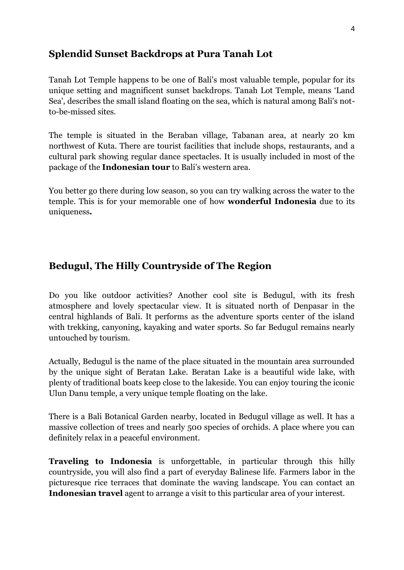# **Splendid Sunset Backdrops at Pura Tanah Lot**

Tanah Lot Temple happens to be one of Bali's most valuable temple, popular for its unique setting and magnificent sunset backdrops. Tanah Lot Temple, means 'Land Sea', describes the small island floating on the sea, which is natural among Bali's notto-be-missed sites.

The temple is situated in the Beraban village, Tabanan area, at nearly 20 km northwest of Kuta. There are tourist facilities that include shops, restaurants, and a cultural park showing regular dance spectacles. It is usually included in most of the package of the **Indonesian tour** to Bali's western area.

You better go there during low season, so you can try walking across the water to the temple. This is for your memorable one of how **wonderful Indonesia** due to its uniqueness**.** 

# **Bedugul, The Hilly Countryside of The Region**

Do you like outdoor activities? Another cool site is Bedugul, with its fresh atmosphere and lovely spectacular view. It is situated north of Denpasar in the central highlands of Bali. It performs as the adventure sports center of the island with trekking, canyoning, kayaking and water sports. So far Bedugul remains nearly untouched by tourism.

Actually, Bedugul is the name of the place situated in the mountain area surrounded by the unique sight of Beratan Lake. Beratan Lake is a beautiful wide lake, with plenty of traditional boats keep close to the lakeside. You can enjoy touring the iconic Ulun Danu temple, a very unique temple floating on the lake.

There is a Bali Botanical Garden nearby, located in Bedugul village as well. It has a massive collection of trees and nearly 500 species of orchids. A place where you can definitely relax in a peaceful environment.

**Traveling to Indonesia** is unforgettable, in particular through this hilly countryside, you will also find a part of everyday Balinese life. Farmers labor in the picturesque rice terraces that dominate the waving landscape. You can contact an **Indonesian travel** agent to arrange a visit to this particular area of your interest.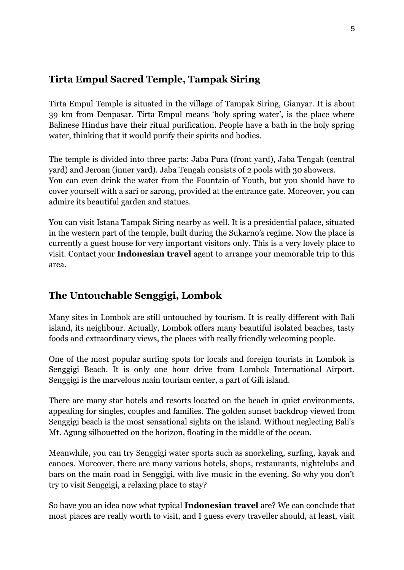# **Tirta Empul Sacred Temple, Tampak Siring**

Tirta Empul Temple is situated in the village of Tampak Siring, Gianyar. It is about 39 km from Denpasar. Tirta Empul means 'holy spring water', is the place where Balinese Hindus have their ritual purification. People have a bath in the holy spring water, thinking that it would purify their spirits and bodies.

The temple is divided into three parts: Jaba Pura (front yard), Jaba Tengah (central yard) and Jeroan (inner yard). Jaba Tengah consists of 2 pools with 30 showers. You can even drink the water from the Fountain of Youth, but you should have to cover yourself with a sari or sarong, provided at the entrance gate. Moreover, you can admire its beautiful garden and statues.

You can visit Istana Tampak Siring nearby as well. It is a presidential palace, situated in the western part of the temple, built during the Sukarno's regime. Now the place is currently a guest house for very important visitors only. This is a very lovely place to visit. Contact your **Indonesian travel** agent to arrange your memorable trip to this area.

# **The Untouchable Senggigi, Lombok**

Many sites in Lombok are still untouched by tourism. It is really different with Bali island, its neighbour. Actually, Lombok offers many beautiful isolated beaches, tasty foods and extraordinary views, the places with really friendly welcoming people.

One of the most popular surfing spots for locals and foreign tourists in Lombok is Senggigi Beach. It is only one hour drive from Lombok International Airport. Senggigi is the marvelous main tourism center, a part of Gili island.

There are many star hotels and resorts located on the beach in quiet environments, appealing for singles, couples and families. The golden sunset backdrop viewed from Senggigi beach is the most sensational sights on the island. Without neglecting Bali's Mt. Agung silhouetted on the horizon, floating in the middle of the ocean.

Meanwhile, you can try Senggigi water sports such as snorkeling, surfing, kayak and canoes. Moreover, there are many various hotels, shops, restaurants, nightclubs and bars on the main road in Senggigi, with live music in the evening. So why you don't try to visit Senggigi, a relaxing place to stay?

So have you an idea now what typical **Indonesian travel** are? We can conclude that most places are really worth to visit, and I guess every traveller should, at least, visit